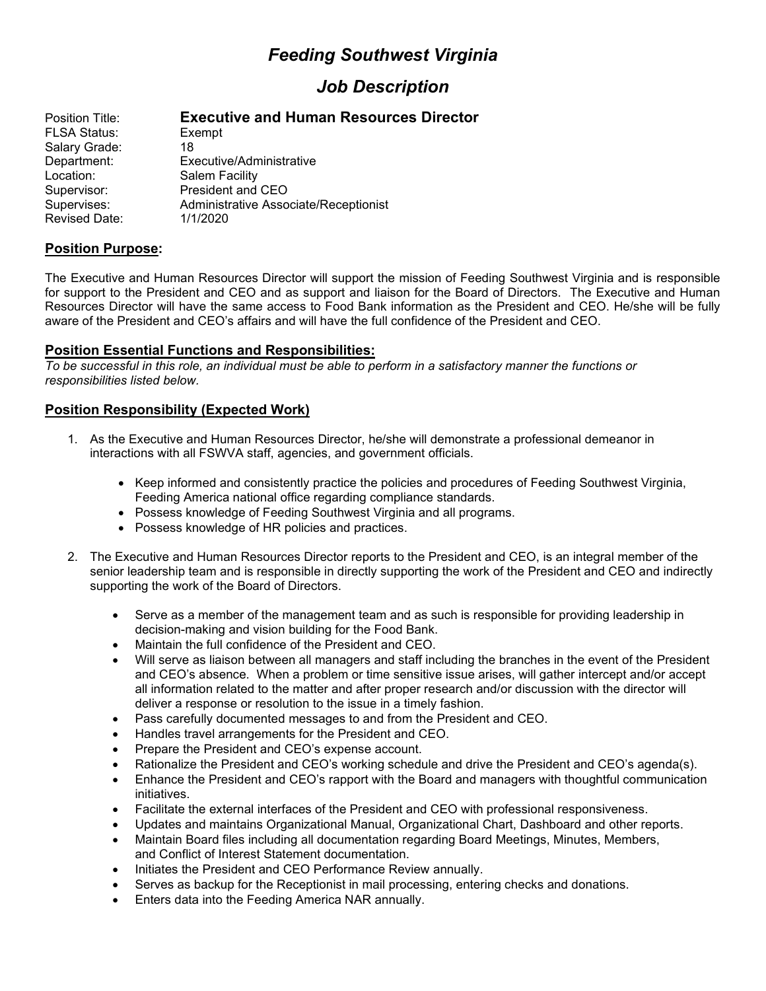# *Feeding Southwest Virginia*

## *Job Description*

| Position Title:      | <b>Executive and Human Resources Director</b> |
|----------------------|-----------------------------------------------|
| <b>FLSA Status:</b>  | Exempt                                        |
| Salary Grade:        | 18                                            |
| Department:          | Executive/Administrative                      |
| Location:            | Salem Facility                                |
| Supervisor:          | President and CEO                             |
| Supervises:          | Administrative Associate/Receptionist         |
| <b>Revised Date:</b> | 1/1/2020                                      |
|                      |                                               |

## **Position Purpose:**

The Executive and Human Resources Director will support the mission of Feeding Southwest Virginia and is responsible for support to the President and CEO and as support and liaison for the Board of Directors. The Executive and Human Resources Director will have the same access to Food Bank information as the President and CEO. He/she will be fully aware of the President and CEO's affairs and will have the full confidence of the President and CEO.

## **Position Essential Functions and Responsibilities:**

*To be successful in this role, an individual must be able to perform in a satisfactory manner the functions or responsibilities listed below.*

## **Position Responsibility (Expected Work)**

- 1. As the Executive and Human Resources Director, he/she will demonstrate a professional demeanor in interactions with all FSWVA staff, agencies, and government officials.
	- Keep informed and consistently practice the policies and procedures of Feeding Southwest Virginia, Feeding America national office regarding compliance standards.
	- Possess knowledge of Feeding Southwest Virginia and all programs.
	- Possess knowledge of HR policies and practices.
- 2. The Executive and Human Resources Director reports to the President and CEO, is an integral member of the senior leadership team and is responsible in directly supporting the work of the President and CEO and indirectly supporting the work of the Board of Directors.
	- Serve as a member of the management team and as such is responsible for providing leadership in decision-making and vision building for the Food Bank.
	- Maintain the full confidence of the President and CEO.
	- Will serve as liaison between all managers and staff including the branches in the event of the President and CEO's absence. When a problem or time sensitive issue arises, will gather intercept and/or accept all information related to the matter and after proper research and/or discussion with the director will deliver a response or resolution to the issue in a timely fashion.
	- Pass carefully documented messages to and from the President and CEO.
	- Handles travel arrangements for the President and CEO.
	- Prepare the President and CEO's expense account.
	- Rationalize the President and CEO's working schedule and drive the President and CEO's agenda(s).
	- Enhance the President and CEO's rapport with the Board and managers with thoughtful communication initiatives.
	- Facilitate the external interfaces of the President and CEO with professional responsiveness.
	- Updates and maintains Organizational Manual, Organizational Chart, Dashboard and other reports.
	- Maintain Board files including all documentation regarding Board Meetings, Minutes, Members, and Conflict of Interest Statement documentation.
	- Initiates the President and CEO Performance Review annually.
	- Serves as backup for the Receptionist in mail processing, entering checks and donations.
	- Enters data into the Feeding America NAR annually.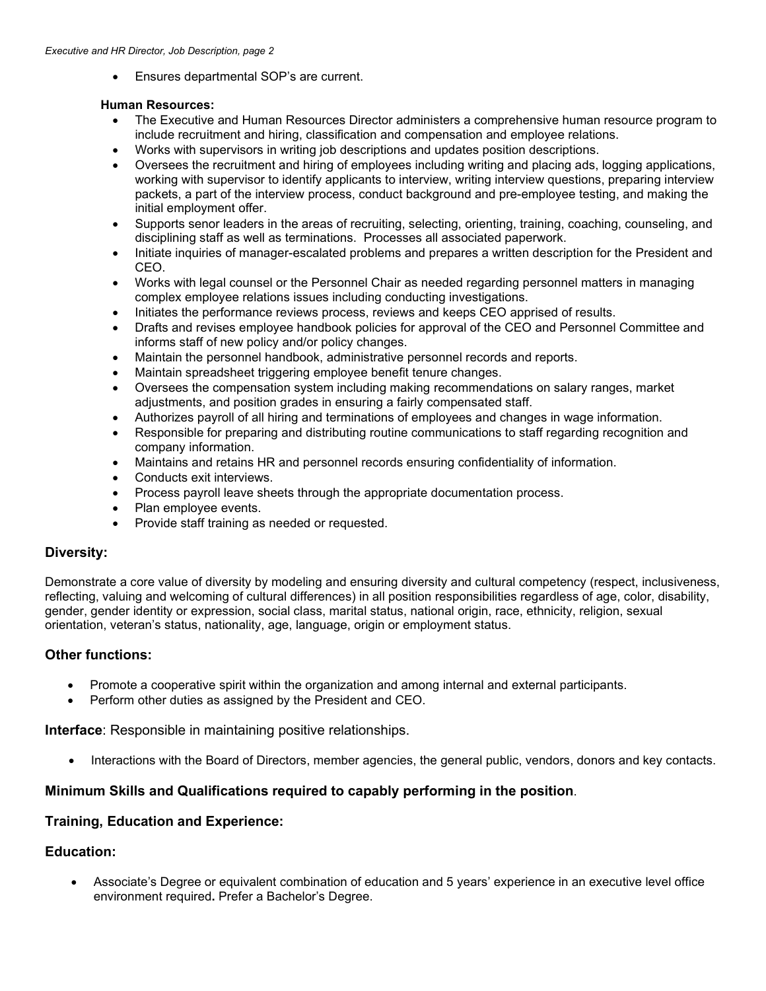• Ensures departmental SOP's are current.

#### **Human Resources:**

- The Executive and Human Resources Director administers a comprehensive human resource program to include recruitment and hiring, classification and compensation and employee relations.
- Works with supervisors in writing job descriptions and updates position descriptions.
- Oversees the recruitment and hiring of employees including writing and placing ads, logging applications, working with supervisor to identify applicants to interview, writing interview questions, preparing interview packets, a part of the interview process, conduct background and pre-employee testing, and making the initial employment offer.
- Supports senor leaders in the areas of recruiting, selecting, orienting, training, coaching, counseling, and disciplining staff as well as terminations. Processes all associated paperwork.
- Initiate inquiries of manager-escalated problems and prepares a written description for the President and CEO.
- Works with legal counsel or the Personnel Chair as needed regarding personnel matters in managing complex employee relations issues including conducting investigations.
- Initiates the performance reviews process, reviews and keeps CEO apprised of results.
- Drafts and revises employee handbook policies for approval of the CEO and Personnel Committee and informs staff of new policy and/or policy changes.
- Maintain the personnel handbook, administrative personnel records and reports.
- Maintain spreadsheet triggering employee benefit tenure changes.
- Oversees the compensation system including making recommendations on salary ranges, market adjustments, and position grades in ensuring a fairly compensated staff.
- Authorizes payroll of all hiring and terminations of employees and changes in wage information.
- Responsible for preparing and distributing routine communications to staff regarding recognition and company information.
- Maintains and retains HR and personnel records ensuring confidentiality of information.
- Conducts exit interviews.
- Process payroll leave sheets through the appropriate documentation process.
- Plan employee events.
- Provide staff training as needed or requested.

## **Diversity:**

Demonstrate a core value of diversity by modeling and ensuring diversity and cultural competency (respect, inclusiveness, reflecting, valuing and welcoming of cultural differences) in all position responsibilities regardless of age, color, disability, gender, gender identity or expression, social class, marital status, national origin, race, ethnicity, religion, sexual orientation, veteran's status, nationality, age, language, origin or employment status.

## **Other functions:**

- Promote a cooperative spirit within the organization and among internal and external participants.
- Perform other duties as assigned by the President and CEO.

**Interface**: Responsible in maintaining positive relationships.

• Interactions with the Board of Directors, member agencies, the general public, vendors, donors and key contacts.

## **Minimum Skills and Qualifications required to capably performing in the position**.

## **Training, Education and Experience:**

## **Education:**

• Associate's Degree or equivalent combination of education and 5 years' experience in an executive level office environment required**.** Prefer a Bachelor's Degree.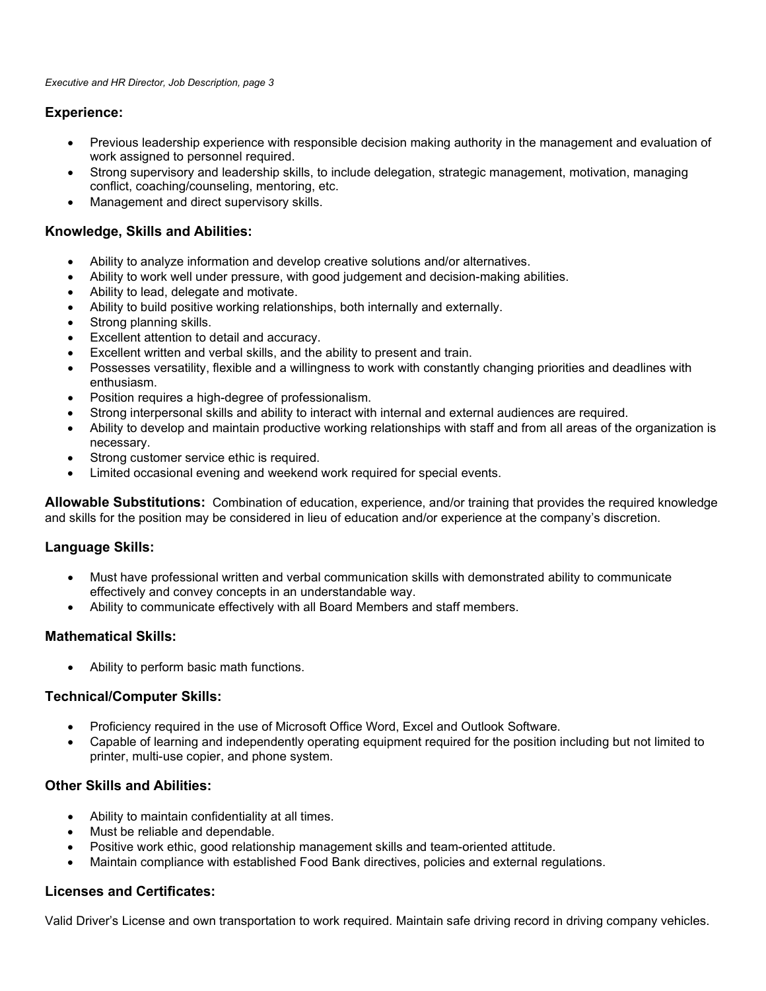## **Experience:**

- Previous leadership experience with responsible decision making authority in the management and evaluation of work assigned to personnel required.
- Strong supervisory and leadership skills, to include delegation, strategic management, motivation, managing conflict, coaching/counseling, mentoring, etc.
- Management and direct supervisory skills.

## **Knowledge, Skills and Abilities:**

- Ability to analyze information and develop creative solutions and/or alternatives.
- Ability to work well under pressure, with good judgement and decision-making abilities.
- Ability to lead, delegate and motivate.
- Ability to build positive working relationships, both internally and externally.
- Strong planning skills.
- Excellent attention to detail and accuracy.
- Excellent written and verbal skills, and the ability to present and train.
- Possesses versatility, flexible and a willingness to work with constantly changing priorities and deadlines with enthusiasm.
- Position requires a high-degree of professionalism.
- Strong interpersonal skills and ability to interact with internal and external audiences are required.
- Ability to develop and maintain productive working relationships with staff and from all areas of the organization is necessary.
- Strong customer service ethic is required.
- Limited occasional evening and weekend work required for special events.

**Allowable Substitutions:** Combination of education, experience, and/or training that provides the required knowledge and skills for the position may be considered in lieu of education and/or experience at the company's discretion.

## **Language Skills:**

- Must have professional written and verbal communication skills with demonstrated ability to communicate effectively and convey concepts in an understandable way.
- Ability to communicate effectively with all Board Members and staff members.

## **Mathematical Skills:**

• Ability to perform basic math functions.

## **Technical/Computer Skills:**

- Proficiency required in the use of Microsoft Office Word, Excel and Outlook Software.
- Capable of learning and independently operating equipment required for the position including but not limited to printer, multi-use copier, and phone system.

## **Other Skills and Abilities:**

- Ability to maintain confidentiality at all times.
- Must be reliable and dependable.
- Positive work ethic, good relationship management skills and team-oriented attitude.
- Maintain compliance with established Food Bank directives, policies and external regulations.

## **Licenses and Certificates:**

Valid Driver's License and own transportation to work required. Maintain safe driving record in driving company vehicles.